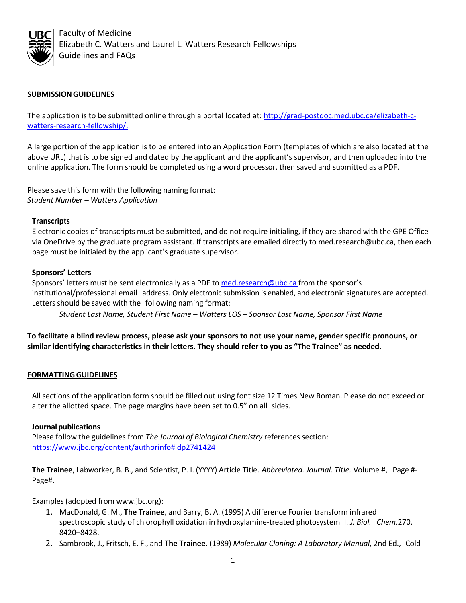

 Faculty of Medicine Elizabeth C. Watters and Laurel L. Watters Research Fellowships Guidelines and FAQs

# **SUBMISSIONGUIDELINES**

The application is to be submitted online through a portal located at: [http://grad-postdoc.med.ubc.ca/elizabeth-c](http://grad-postdoc.med.ubc.ca/elizabeth-c-watters-research-fellowship/)[watters-research-fellowship/.](http://grad-postdoc.med.ubc.ca/elizabeth-c-watters-research-fellowship/)

A large portion of the application is to be entered into an Application Form (templates of which are also located at the above URL) that is to be signed and dated by the applicant and the applicant's supervisor, and then uploaded into the online application. The form should be completed using a word processor, then saved and submitted as a PDF.

Please save this form with the following naming format: *Student Number – Watters Application*

### **Transcripts**

Electronic copies of transcripts must be submitted, and do not require initialing, if they are shared with the GPE Office via OneDrive by the graduate program assistant. If transcripts are emailed directly to med.research@ubc.ca, then each page must be initialed by the applicant's graduate supervisor.

### **Sponsors' Letters**

Sponsors' letters must be sent electronically as a PDF to med.research@ubc.ca from the sponsor's institutional/professional email address. Only electronic submission is enabled, and electronic signatures are accepted. Letters should be saved with the following naming format:

*Student Last Name, Student First Name – Watters LOS – Sponsor Last Name, Sponsor First Name*

**To facilitate a blind review process, please ask your sponsors to not use your name, gender specific pronouns, or similar identifying characteristics in their letters. They should refer to you as "The Trainee" as needed.**

### **FORMATTINGGUIDELINES**

All sections of the application form should be filled out using font size 12 Times New Roman. Please do not exceed or alter the allotted space. The page margins have been set to 0.5" on all sides.

### **Journal publications**

Please follow the guidelines from *The Journal of Biological Chemistry* references section: <https://www.jbc.org/content/authorinfo#idp2741424>

**The Trainee**, Labworker, B. B., and Scientist, P. I. (YYYY) Article Title. *Abbreviated. Journal. Title.* Volume #, Page #- Page#.

Examples(adopted from www.jbc.org):

- 1. MacDonald, G. M., **The Trainee**, and Barry, B. A. (1995) A difference Fourier transform infrared spectroscopic study of chlorophyll oxidation in hydroxylamine-treated photosystem II. *J. Biol. Chem.*270, 8420–8428.
- 2. Sambrook, J., Fritsch, E. F., and **The Trainee**. (1989) *Molecular Cloning: A Laboratory Manual*, 2nd Ed., Cold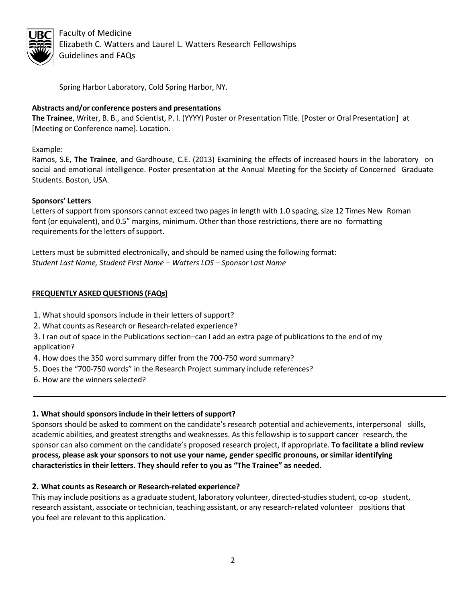

 Faculty of Medicine Elizabeth C. Watters and Laurel L. Watters Research Fellowships Guidelines and FAQs

Spring Harbor Laboratory, Cold Spring Harbor, NY.

# **Abstracts and/or conference posters and presentations**

**The Trainee**, Writer, B. B., and Scientist, P. I. (YYYY) Poster or Presentation Title. [Poster or Oral Presentation] at [Meeting or Conference name]. Location.

Example:

Ramos, S.E, **The Trainee**, and Gardhouse, C.E. (2013) Examining the effects of increased hours in the laboratory on social and emotional intelligence. Poster presentation at the Annual Meeting for the Society of Concerned Graduate Students. Boston, USA.

### **Sponsors' Letters**

Letters of support from sponsors cannot exceed two pages in length with 1.0 spacing, size 12 Times New Roman font (or equivalent), and 0.5" margins, minimum. Other than those restrictions, there are no formatting requirements for the letters of support.

Letters must be submitted electronically, and should be named using the following format: *Student Last Name, Student First Name – Watters LOS – Sponsor Last Name*

### **FREQUENTLY ASKED QUESTIONS (FAQs)**

- 1. What should sponsors include in their letters of support?
- 2. What counts as Research or Research-related experience?

3. I ran out of space in the Publications section–can I add an extra page of publications to the end of my application?

- 4. How does the 350 word summary differ from the 700-750 word summary?
- 5. Does the "700-750 words" in the Research Project summary include references?
- 6. How are the winners selected?

# **1. Whatshould sponsorsinclude in their letters ofsupport?**

Sponsors should be asked to comment on the candidate's research potential and achievements, interpersonal skills, academic abilities, and greatest strengths and weaknesses. As this fellowship is to support cancer research, the sponsor can also comment on the candidate's proposed research project, if appropriate. **To facilitate a blind review process, please ask your sponsors to not use your name, gender specific pronouns, or similar identifying characteristics in their letters. They should refer to you as "The Trainee" as needed.**

### **2. What counts as Research or Research-related experience?**

This may include positions as a graduate student, laboratory volunteer, directed-studies student, co-op student, research assistant, associate or technician, teaching assistant, or any research-related volunteer positions that you feel are relevant to this application.